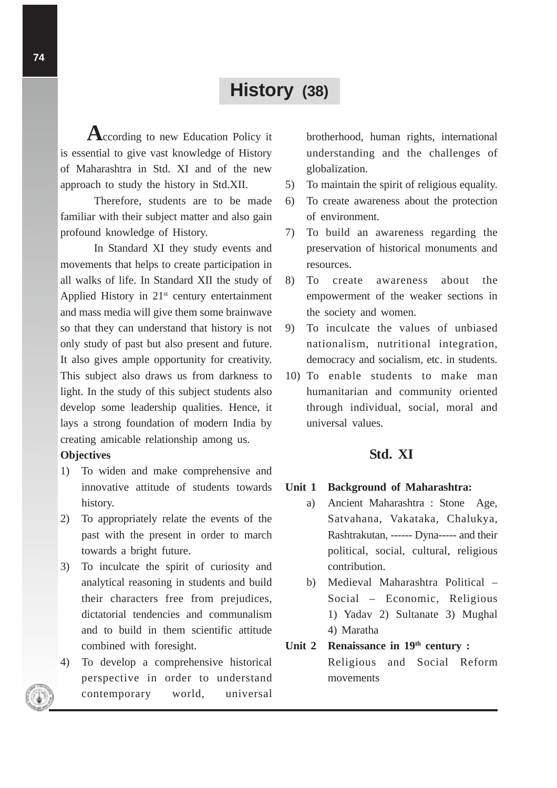# **History (38)**

**A**ccording to new Education Policy it is essential to give vast knowledge of History of Maharashtra in Std. XI and of the new approach to study the history in Std.XII.

Therefore, students are to be made familiar with their subject matter and also gain profound knowledge of History.

In Standard XI they study events and movements that helps to create participation in all walks of life. In Standard XII the study of Applied History in  $21<sup>st</sup>$  century entertainment and mass media will give them some brainwave so that they can understand that history is not only study of past but also present and future. It also gives ample opportunity for creativity. This subject also draws us from darkness to light. In the study of this subject students also develop some leadership qualities. Hence, it lays a strong foundation of modern India by creating amicable relationship among us.

# **Objectives**

- 1) To widen and make comprehensive and innovative attitude of students towards history.
- 2) To appropriately relate the events of the past with the present in order to march towards a bright future.
- 3) To inculcate the spirit of curiosity and analytical reasoning in students and build their characters free from prejudices, dictatorial tendencies and communalism and to build in them scientific attitude combined with foresight.
- 4) To develop a comprehensive historical perspective in order to understand contemporary world, universal

brotherhood, human rights, international understanding and the challenges of globalization.

- 5) To maintain the spirit of religious equality.
- 6) To create awareness about the protection of environment.
- 7) To build an awareness regarding the preservation of historical monuments and resources.
- 8) To create awareness about the empowerment of the weaker sections in the society and women.
- 9) To inculcate the values of unbiased nationalism, nutritional integration, democracy and socialism, etc. in students.
- 10) To enable students to make man humanitarian and community oriented through individual, social, moral and universal values.

# **Std. XI**

## **Unit 1 Background of Maharashtra:**

- a) Ancient Maharashtra : Stone Age, Satvahana, Vakataka, Chalukya, Rashtrakutan, ------ Dyna----- and their political, social, cultural, religious contribution.
- b) Medieval Maharashtra Political Social – Economic, Religious 1) Yadav 2) Sultanate 3) Mughal 4) Maratha

# Unit 2 Renaissance in 19<sup>th</sup> century : Religious and Social Reform

movements